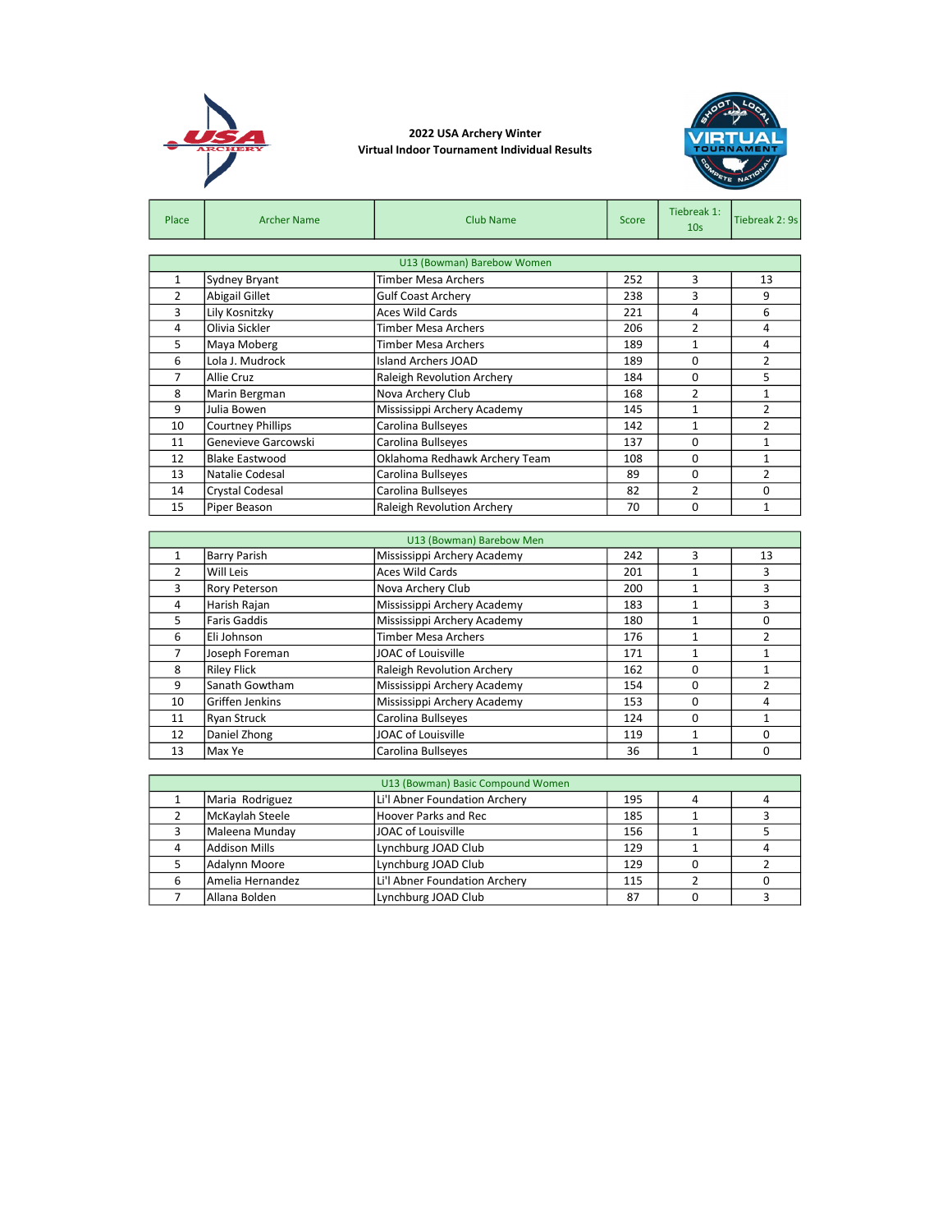

## 2022 USA Archery Winter Virtual Indoor Tournament Individual Results



| Place          | <b>Archer Name</b>       | <b>Club Name</b>                  | Score | Tiebreak 1:<br>10 <sub>s</sub> | Tiebreak 2: 9s |  |  |  |  |  |
|----------------|--------------------------|-----------------------------------|-------|--------------------------------|----------------|--|--|--|--|--|
|                |                          |                                   |       |                                |                |  |  |  |  |  |
|                |                          | U13 (Bowman) Barebow Women        |       |                                |                |  |  |  |  |  |
| 1              | Sydney Bryant            | Timber Mesa Archers               | 252   | 3                              | 13             |  |  |  |  |  |
| $\overline{2}$ | Abigail Gillet           | <b>Gulf Coast Archery</b>         | 238   | 3                              | 9              |  |  |  |  |  |
| 3              | Lily Kosnitzky           | <b>Aces Wild Cards</b>            | 221   | 4                              | 6              |  |  |  |  |  |
| 4              | Olivia Sickler           | Timber Mesa Archers               | 206   | $\mathfrak z$                  | 4              |  |  |  |  |  |
| 5              | Maya Moberg              | Timber Mesa Archers               | 189   | 1                              | 4              |  |  |  |  |  |
| 6              | Lola J. Mudrock          | <b>Island Archers JOAD</b>        | 189   | 0                              | $\overline{2}$ |  |  |  |  |  |
| 7              | Allie Cruz               | <b>Raleigh Revolution Archery</b> | 184   | 0                              | 5              |  |  |  |  |  |
| 8              | Marin Bergman            | Nova Archery Club                 | 168   | $\mathcal{P}$                  | 1              |  |  |  |  |  |
| 9              | Julia Bowen              | Mississippi Archery Academy       | 145   | $\mathbf{1}$                   | $\overline{2}$ |  |  |  |  |  |
| 10             | <b>Courtney Phillips</b> | Carolina Bullseyes                | 142   | 1                              | $\overline{2}$ |  |  |  |  |  |
| 11             | Genevieve Garcowski      | Carolina Bullseyes                | 137   | 0                              | 1              |  |  |  |  |  |
| 12             | <b>Blake Eastwood</b>    | Oklahoma Redhawk Archery Team     | 108   | 0                              | 1              |  |  |  |  |  |
| 13             | Natalie Codesal          | Carolina Bullseyes                | 89    | $\Omega$                       | $\overline{2}$ |  |  |  |  |  |
| 14             | Crystal Codesal          | Carolina Bullseyes                | 82    | $\mathfrak z$                  | 0              |  |  |  |  |  |
| 15             | Piper Beason             | Raleigh Revolution Archery        | 70    | 0                              | $\mathbf{1}$   |  |  |  |  |  |

|                | U13 (Bowman) Barebow Men |                                   |     |          |    |  |  |  |
|----------------|--------------------------|-----------------------------------|-----|----------|----|--|--|--|
| 1              | <b>Barry Parish</b>      | Mississippi Archery Academy       | 242 | 3        | 13 |  |  |  |
| $\overline{2}$ | Will Leis                | <b>Aces Wild Cards</b>            | 201 |          | 3  |  |  |  |
| 3              | <b>Rory Peterson</b>     | Nova Archery Club                 | 200 |          | 3  |  |  |  |
| 4              | Harish Rajan             | Mississippi Archery Academy       | 183 |          | 3  |  |  |  |
| 5              | Faris Gaddis             | Mississippi Archery Academy       | 180 |          | 0  |  |  |  |
| 6              | Eli Johnson              | <b>Timber Mesa Archers</b>        | 176 |          | 2  |  |  |  |
| 7              | Joseph Foreman           | JOAC of Louisville                | 171 |          |    |  |  |  |
| 8              | <b>Riley Flick</b>       | <b>Raleigh Revolution Archery</b> | 162 | 0        |    |  |  |  |
| 9              | Sanath Gowtham           | Mississippi Archery Academy       | 154 | 0        |    |  |  |  |
| 10             | Griffen Jenkins          | Mississippi Archery Academy       | 153 | $\Omega$ | 4  |  |  |  |
| 11             | Ryan Struck              | Carolina Bullseyes                | 124 | 0        |    |  |  |  |
| 12             | Daniel Zhong             | JOAC of Louisville                | 119 |          | 0  |  |  |  |
| 13             | Max Ye                   | Carolina Bullseyes                | 36  |          | 0  |  |  |  |

| U13 (Bowman) Basic Compound Women |                               |     |  |  |  |  |  |
|-----------------------------------|-------------------------------|-----|--|--|--|--|--|
| Maria Rodriguez                   | Li'l Abner Foundation Archery | 195 |  |  |  |  |  |
| McKaylah Steele                   | Hoover Parks and Rec          | 185 |  |  |  |  |  |
| Maleena Munday                    | JOAC of Louisville            | 156 |  |  |  |  |  |
| Addison Mills                     | Lynchburg JOAD Club           | 129 |  |  |  |  |  |
| Adalynn Moore                     | Lynchburg JOAD Club           | 129 |  |  |  |  |  |
| lAmelia Hernandez                 | Li'l Abner Foundation Archery | 115 |  |  |  |  |  |
| Allana Bolden                     | Lynchburg JOAD Club           | 87  |  |  |  |  |  |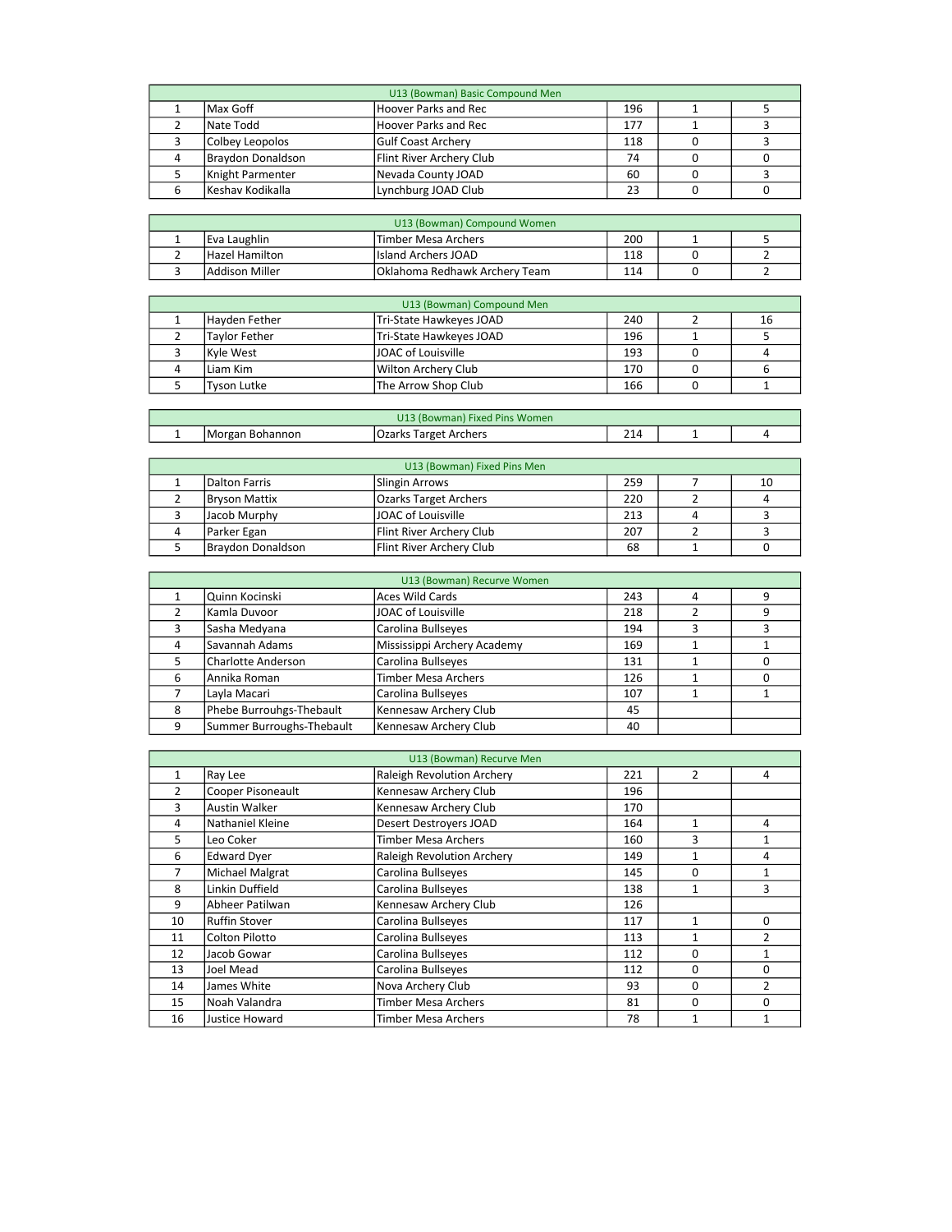| U13 (Bowman) Basic Compound Men |                   |                           |     |  |  |  |  |
|---------------------------------|-------------------|---------------------------|-----|--|--|--|--|
|                                 | Max Goff          | Hoover Parks and Rec      | 196 |  |  |  |  |
|                                 | Nate Todd         | Hoover Parks and Rec      | 177 |  |  |  |  |
|                                 | Colbey Leopolos   | <b>Gulf Coast Archery</b> | 118 |  |  |  |  |
|                                 | Braydon Donaldson | Flint River Archery Club  | 74  |  |  |  |  |
|                                 | Knight Parmenter  | Nevada County JOAD        | 60  |  |  |  |  |
|                                 | Keshav Kodikalla  | Lynchburg JOAD Club       | 23  |  |  |  |  |

| U13 (Bowman) Compound Women |                |                                |     |  |  |  |  |  |
|-----------------------------|----------------|--------------------------------|-----|--|--|--|--|--|
|                             | lEva Laughlin  | lTimber Mesa Archers           | 200 |  |  |  |  |  |
|                             | Hazel Hamilton | IIsland Archers JOAD           | 118 |  |  |  |  |  |
|                             | Addison Miller | lOklahoma Redhawk Archery Team | 114 |  |  |  |  |  |

| U13 (Bowman) Compound Men |                          |     |  |    |  |  |  |
|---------------------------|--------------------------|-----|--|----|--|--|--|
| lHavden Fether            | Tri-State Hawkeyes JOAD  | 240 |  | 16 |  |  |  |
| <b>Tavlor Fether</b>      | lTri-State Hawkeves JOAD | 196 |  |    |  |  |  |
| Kvle West                 | JOAC of Louisville       | 193 |  |    |  |  |  |
| l Liam Kim                | Wilton Archery Club      | 170 |  |    |  |  |  |
| Tyson Lutke               | The Arrow Shop Club      | 166 |  |    |  |  |  |

| U13 (Bowman) Fixed Pins Women |                 |                       |              |  |  |  |
|-------------------------------|-----------------|-----------------------|--------------|--|--|--|
|                               | Morgan Bohannon | Ozarks Target Archers | $\mathbf{a}$ |  |  |  |
|                               |                 |                       |              |  |  |  |

| U13 (Bowman) Fixed Pins Men |                              |     |  |    |  |  |  |  |
|-----------------------------|------------------------------|-----|--|----|--|--|--|--|
| l Dalton Farris             | Slingin Arrows               | 259 |  | 10 |  |  |  |  |
| <b>Bryson Mattix</b>        | <b>Ozarks Target Archers</b> | 220 |  |    |  |  |  |  |
| Jacob Murphy                | <b>JOAC of Louisville</b>    | 213 |  |    |  |  |  |  |
| Parker Egan                 | Flint River Archery Club     | 207 |  |    |  |  |  |  |
| Braydon Donaldson           | Flint River Archery Club     | 68  |  |    |  |  |  |  |

| U13 (Bowman) Recurve Women |                           |                             |     |   |   |  |  |  |
|----------------------------|---------------------------|-----------------------------|-----|---|---|--|--|--|
|                            | Quinn Kocinski            | <b>Aces Wild Cards</b>      | 243 | 4 | 9 |  |  |  |
|                            | Kamla Duvoor              | JOAC of Louisville          | 218 |   | 9 |  |  |  |
|                            | Sasha Medyana             | Carolina Bullseyes          | 194 |   |   |  |  |  |
|                            | Savannah Adams            | Mississippi Archery Academy | 169 |   |   |  |  |  |
|                            | Charlotte Anderson        | Carolina Bullseyes          | 131 |   |   |  |  |  |
| 6                          | lAnnika Roman             | <b>Timber Mesa Archers</b>  | 126 |   |   |  |  |  |
|                            | Layla Macari              | Carolina Bullseyes          | 107 |   |   |  |  |  |
| 8                          | Phebe Burrouhgs-Thebault  | Kennesaw Archery Club       | 45  |   |   |  |  |  |
|                            | Summer Burroughs-Thebault | Kennesaw Archery Club       | 40  |   |   |  |  |  |

| U13 (Bowman) Recurve Men |                      |                                   |     |                |                |  |  |
|--------------------------|----------------------|-----------------------------------|-----|----------------|----------------|--|--|
| 1                        | Ray Lee              | <b>Raleigh Revolution Archery</b> | 221 | $\overline{2}$ | 4              |  |  |
| 2                        | Cooper Pisoneault    | Kennesaw Archery Club             | 196 |                |                |  |  |
| 3                        | <b>Austin Walker</b> | Kennesaw Archery Club             | 170 |                |                |  |  |
| 4                        | Nathaniel Kleine     | Desert Destroyers JOAD            | 164 | 1              | 4              |  |  |
| 5                        | Leo Coker            | <b>Timber Mesa Archers</b>        | 160 | 3              |                |  |  |
| 6                        | <b>Edward Dyer</b>   | <b>Raleigh Revolution Archery</b> | 149 | 1              | 4              |  |  |
| 7                        | Michael Malgrat      | Carolina Bullseyes                | 145 | 0              | 1              |  |  |
| 8                        | Linkin Duffield      | Carolina Bullseyes                | 138 | 1              | 3              |  |  |
| 9                        | Abheer Patilwan      | Kennesaw Archery Club             | 126 |                |                |  |  |
| 10                       | Ruffin Stover        | Carolina Bullseyes                | 117 | 1              | $\Omega$       |  |  |
| 11                       | Colton Pilotto       | Carolina Bullseyes                | 113 | 1              | $\mathcal{P}$  |  |  |
| 12                       | Jacob Gowar          | Carolina Bullseyes                | 112 | 0              | 1              |  |  |
| 13                       | Joel Mead            | Carolina Bullseyes                | 112 | $\Omega$       | $\Omega$       |  |  |
| 14                       | James White          | Nova Archery Club                 | 93  | $\Omega$       | $\overline{2}$ |  |  |
| 15                       | Noah Valandra        | <b>Timber Mesa Archers</b>        | 81  | 0              | $\Omega$       |  |  |
| 16                       | Justice Howard       | <b>Timber Mesa Archers</b>        | 78  | 1              |                |  |  |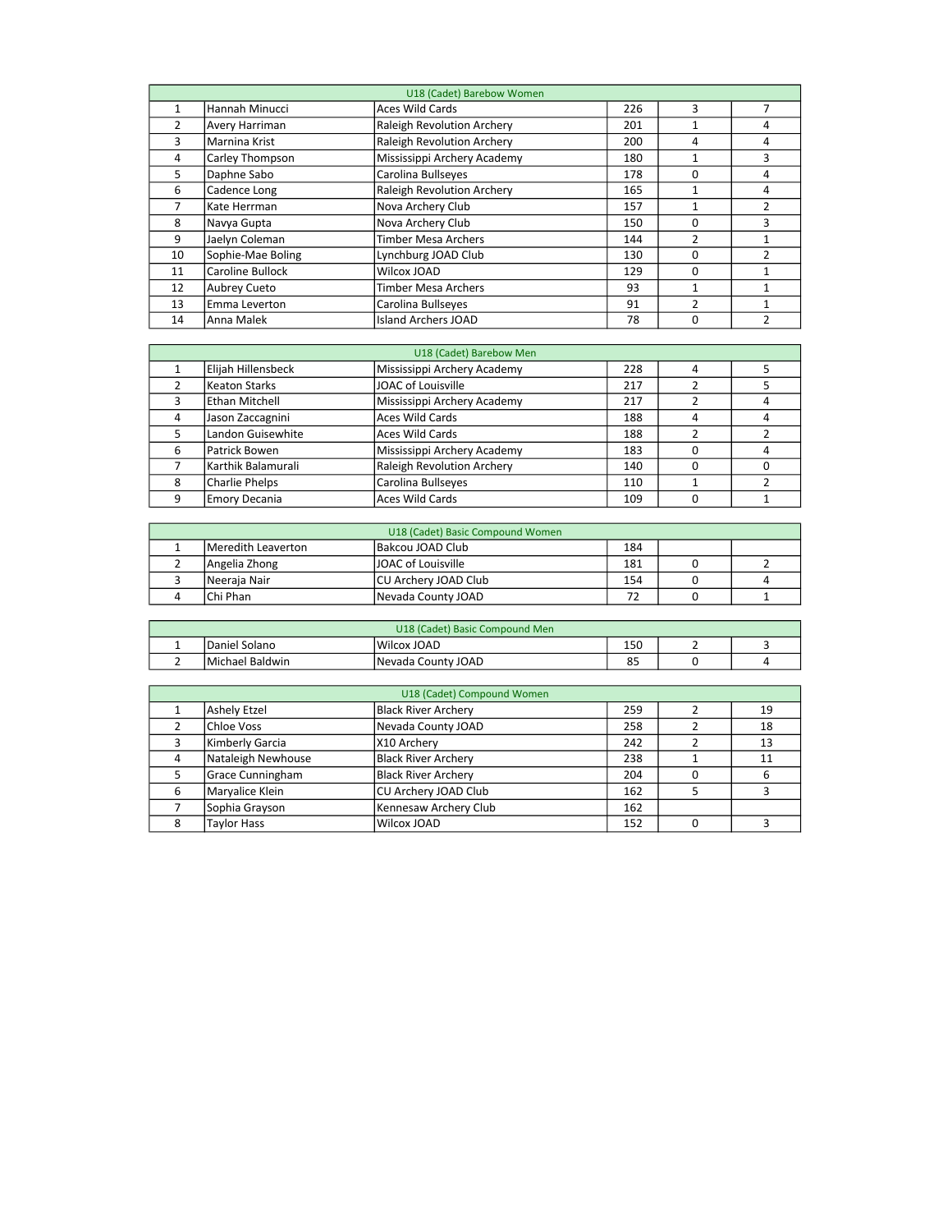| U18 (Cadet) Barebow Women |                     |                                   |     |                |               |  |  |
|---------------------------|---------------------|-----------------------------------|-----|----------------|---------------|--|--|
|                           | Hannah Minucci      | <b>Aces Wild Cards</b>            | 226 | 3              |               |  |  |
| $\overline{2}$            | Avery Harriman      | <b>Raleigh Revolution Archery</b> | 201 |                | 4             |  |  |
| 3                         | Marnina Krist       | <b>Raleigh Revolution Archery</b> | 200 | 4              | 4             |  |  |
| 4                         | Carley Thompson     | Mississippi Archery Academy       | 180 |                | 3             |  |  |
| 5                         | Daphne Sabo         | Carolina Bullseyes                | 178 | 0              | 4             |  |  |
| 6                         | Cadence Long        | <b>Raleigh Revolution Archery</b> | 165 |                | 4             |  |  |
| 7                         | Kate Herrman        | Nova Archery Club                 | 157 |                | 2             |  |  |
| 8                         | Navya Gupta         | Nova Archery Club                 | 150 | 0              | 3             |  |  |
| 9                         | Jaelyn Coleman      | <b>Timber Mesa Archers</b>        | 144 | 2              |               |  |  |
| 10                        | Sophie-Mae Boling   | Lynchburg JOAD Club               | 130 | 0              | $\mathcal{P}$ |  |  |
| 11                        | Caroline Bullock    | Wilcox JOAD                       | 129 | 0              |               |  |  |
| 12                        | <b>Aubrey Cueto</b> | <b>Timber Mesa Archers</b>        | 93  | 1              | 1             |  |  |
| 13                        | Emma Leverton       | Carolina Bullseyes                | 91  | $\overline{2}$ | 1             |  |  |
| 14                        | Anna Malek          | <b>Island Archers JOAD</b>        | 78  | 0              | 2             |  |  |

|   | U18 (Cadet) Barebow Men |                                   |     |   |  |  |  |  |
|---|-------------------------|-----------------------------------|-----|---|--|--|--|--|
|   | Elijah Hillensbeck      | Mississippi Archery Academy       | 228 | 4 |  |  |  |  |
|   | Keaton Starks           | JOAC of Louisville                | 217 |   |  |  |  |  |
|   | Ethan Mitchell          | Mississippi Archery Academy       | 217 |   |  |  |  |  |
| 4 | Jason Zaccagnini        | Aces Wild Cards                   | 188 | 4 |  |  |  |  |
|   | Landon Guisewhite       | Aces Wild Cards                   | 188 |   |  |  |  |  |
| 6 | Patrick Bowen           | Mississippi Archery Academy       | 183 |   |  |  |  |  |
|   | Karthik Balamurali      | <b>Raleigh Revolution Archery</b> | 140 |   |  |  |  |  |
| 8 | Charlie Phelps          | Carolina Bullseyes                | 110 |   |  |  |  |  |
| q | <b>Emory Decania</b>    | <b>Aces Wild Cards</b>            | 109 |   |  |  |  |  |

| U18 (Cadet) Basic Compound Women |                           |     |  |  |  |  |  |
|----------------------------------|---------------------------|-----|--|--|--|--|--|
| Meredith Leaverton               | Bakcou JOAD Club          | 184 |  |  |  |  |  |
| Angelia Zhong                    | <b>JOAC of Louisville</b> | 181 |  |  |  |  |  |
| Neeraia Nair                     | CU Archery JOAD Club      | 154 |  |  |  |  |  |
| lChi Phan                        | Nevada County JOAD        | フつ  |  |  |  |  |  |

| U18 (Cadet) Basic Compound Men |                         |                    |     |  |  |  |  |  |
|--------------------------------|-------------------------|--------------------|-----|--|--|--|--|--|
|                                | Daniel Solano           | l Wilcox JOAD      | 150 |  |  |  |  |  |
|                                | <b>IMichael Baldwin</b> | Nevada County JOAD | 85  |  |  |  |  |  |

|   | U18 (Cadet) Compound Women |                            |     |  |    |  |  |  |  |
|---|----------------------------|----------------------------|-----|--|----|--|--|--|--|
|   | Ashely Etzel               | <b>Black River Archery</b> | 259 |  | 19 |  |  |  |  |
|   | <b>Chloe Voss</b>          | Nevada County JOAD         | 258 |  | 18 |  |  |  |  |
|   | Kimberly Garcia            | X10 Archery                | 242 |  | 13 |  |  |  |  |
|   | Nataleigh Newhouse         | <b>Black River Archery</b> | 238 |  | 11 |  |  |  |  |
|   | <b>Grace Cunningham</b>    | <b>Black River Archery</b> | 204 |  | 6  |  |  |  |  |
| 6 | Maryalice Klein            | CU Archery JOAD Club       | 162 |  |    |  |  |  |  |
|   | Sophia Grayson             | Kennesaw Archery Club      | 162 |  |    |  |  |  |  |
|   | Taylor Hass                | Wilcox JOAD                | 152 |  |    |  |  |  |  |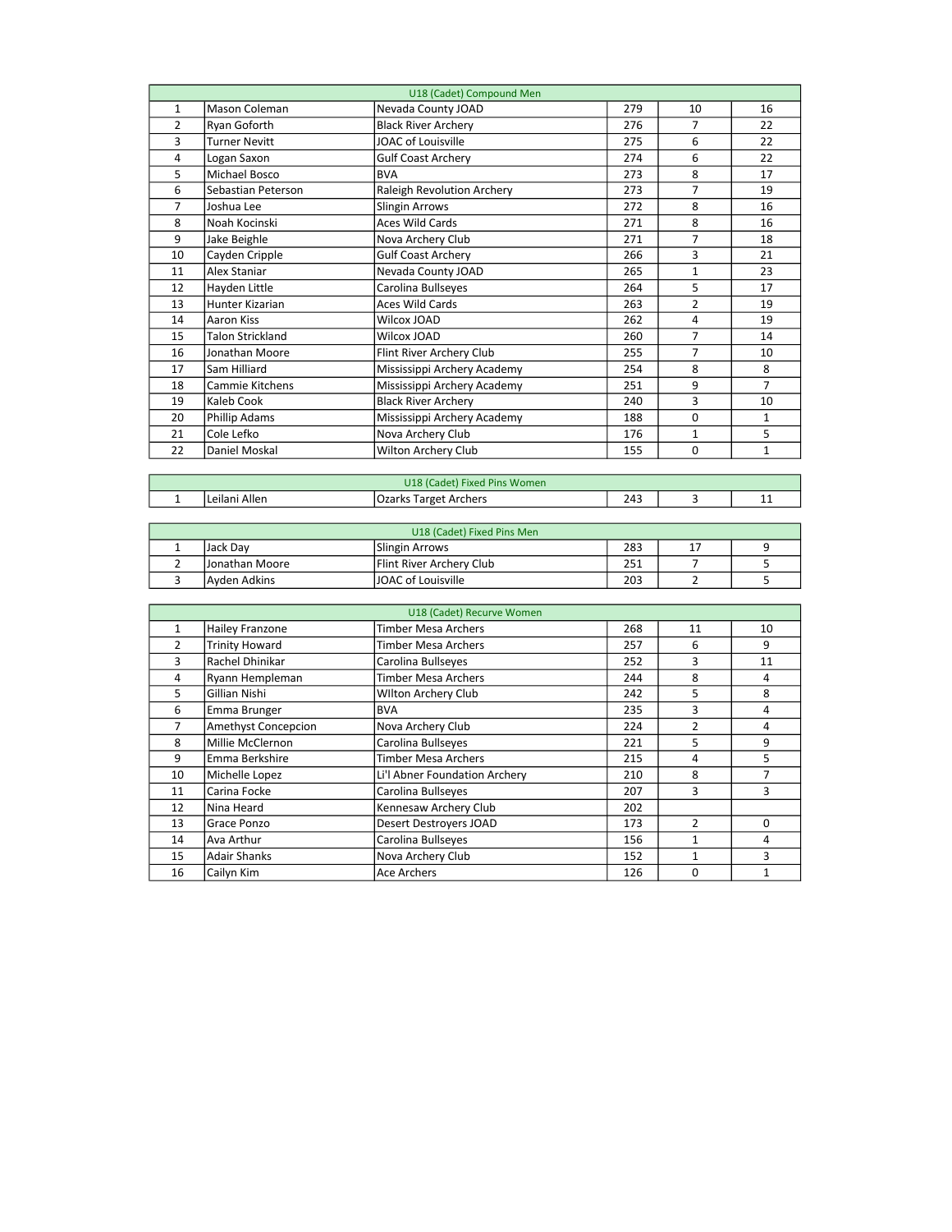| U18 (Cadet) Compound Men |                      |                              |     |                |                |  |  |  |
|--------------------------|----------------------|------------------------------|-----|----------------|----------------|--|--|--|
| $\mathbf{1}$             | Mason Coleman        | Nevada County JOAD           | 279 | 10             | 16             |  |  |  |
| $\overline{2}$           | Ryan Goforth         | <b>Black River Archery</b>   | 276 | 7              | 22             |  |  |  |
| 3                        | <b>Turner Nevitt</b> | <b>JOAC of Louisville</b>    | 275 | 6              | 22             |  |  |  |
| 4                        | Logan Saxon          | <b>Gulf Coast Archery</b>    | 274 | 6              | 22             |  |  |  |
| 5                        | Michael Bosco        | <b>BVA</b>                   | 273 | 8              | 17             |  |  |  |
| 6                        | Sebastian Peterson   | Raleigh Revolution Archery   | 273 | $\overline{7}$ | 19             |  |  |  |
| $\overline{7}$           | Joshua Lee           | <b>Slingin Arrows</b>        | 272 | 8              | 16             |  |  |  |
| 8                        | Noah Kocinski        | <b>Aces Wild Cards</b>       | 271 | 8              | 16             |  |  |  |
| 9                        | Jake Beighle         | Nova Archery Club            | 271 | 7              | 18             |  |  |  |
| 10                       | Cayden Cripple       | <b>Gulf Coast Archery</b>    | 266 | 3              | 21             |  |  |  |
| 11                       | Alex Staniar         | Nevada County JOAD           | 265 | $\mathbf{1}$   | 23             |  |  |  |
| 12                       | Hayden Little        | Carolina Bullseyes           | 264 | 5              | 17             |  |  |  |
| 13                       | Hunter Kizarian      | <b>Aces Wild Cards</b>       | 263 | $\overline{2}$ | 19             |  |  |  |
| 14                       | Aaron Kiss           | Wilcox JOAD                  | 262 | 4              | 19             |  |  |  |
| 15                       | Talon Strickland     | Wilcox JOAD                  | 260 | $\overline{7}$ | 14             |  |  |  |
| 16                       | Jonathan Moore       | Flint River Archery Club     | 255 | $\overline{7}$ | 10             |  |  |  |
| 17                       | Sam Hilliard         | Mississippi Archery Academy  | 254 | 8              | 8              |  |  |  |
| 18                       | Cammie Kitchens      | Mississippi Archery Academy  | 251 | 9              | $\overline{7}$ |  |  |  |
| 19                       | Kaleb Cook           | <b>Black River Archery</b>   | 240 | 3              | 10             |  |  |  |
| 20                       | Phillip Adams        | Mississippi Archery Academy  | 188 | 0              | 1              |  |  |  |
| 21                       | Cole Lefko           | Nova Archery Club            | 176 | $\mathbf{1}$   | 5              |  |  |  |
| 22                       | Daniel Moskal        | Wilton Archery Club          | 155 | $\Omega$       | $\mathbf{1}$   |  |  |  |
|                          |                      |                              |     |                |                |  |  |  |
|                          |                      | U18 (Cadet) Fixed Pins Women |     |                |                |  |  |  |
| $\mathbf{1}$             | Leilani Allen        | <b>Ozarks Target Archers</b> | 243 | 3              | 11             |  |  |  |

| U18 (Cadet) Fixed Pins Men |                 |                           |     |  |  |  |  |
|----------------------------|-----------------|---------------------------|-----|--|--|--|--|
|                            | lJack Dav       | Slingin Arrows            | 283 |  |  |  |  |
|                            | IJonathan Moore | Flint River Archery Club  | 251 |  |  |  |  |
|                            | Avden Adkins    | <b>JOAC of Louisville</b> | 203 |  |  |  |  |
|                            |                 |                           |     |  |  |  |  |

| U18 (Cadet) Recurve Women |                            |                               |     |               |    |  |  |  |
|---------------------------|----------------------------|-------------------------------|-----|---------------|----|--|--|--|
| $\mathbf{1}$              | Hailey Franzone            | <b>Timber Mesa Archers</b>    | 268 | 11            | 10 |  |  |  |
| 2                         | <b>Trinity Howard</b>      | <b>Timber Mesa Archers</b>    | 257 | 6             | 9  |  |  |  |
| 3                         | Rachel Dhinikar            | Carolina Bullseyes            | 252 | 3             | 11 |  |  |  |
| 4                         | Ryann Hempleman            | <b>Timber Mesa Archers</b>    | 244 | 8             | 4  |  |  |  |
| 5                         | Gillian Nishi              | <b>Wilton Archery Club</b>    | 242 | 5             | 8  |  |  |  |
| 6                         | Emma Brunger               | <b>BVA</b>                    | 235 | 3             | 4  |  |  |  |
| 7                         | <b>Amethyst Concepcion</b> | Nova Archery Club             | 224 | 2             | 4  |  |  |  |
| 8                         | Millie McClernon           | Carolina Bullseyes            | 221 | 5             | 9  |  |  |  |
| 9                         | Emma Berkshire             | <b>Timber Mesa Archers</b>    | 215 | 4             | 5  |  |  |  |
| 10                        | Michelle Lopez             | Li'l Abner Foundation Archery | 210 | 8             |    |  |  |  |
| 11                        | Carina Focke               | Carolina Bullseyes            | 207 | 3             | 3  |  |  |  |
| 12                        | Nina Heard                 | Kennesaw Archery Club         | 202 |               |    |  |  |  |
| 13                        | Grace Ponzo                | Desert Destroyers JOAD        | 173 | $\mathfrak z$ | 0  |  |  |  |
| 14                        | Ava Arthur                 | Carolina Bullseyes            | 156 | 1             | 4  |  |  |  |
| 15                        | <b>Adair Shanks</b>        | Nova Archery Club             | 152 | 1             | 3  |  |  |  |
| 16                        | Cailyn Kim                 | <b>Ace Archers</b>            | 126 | 0             |    |  |  |  |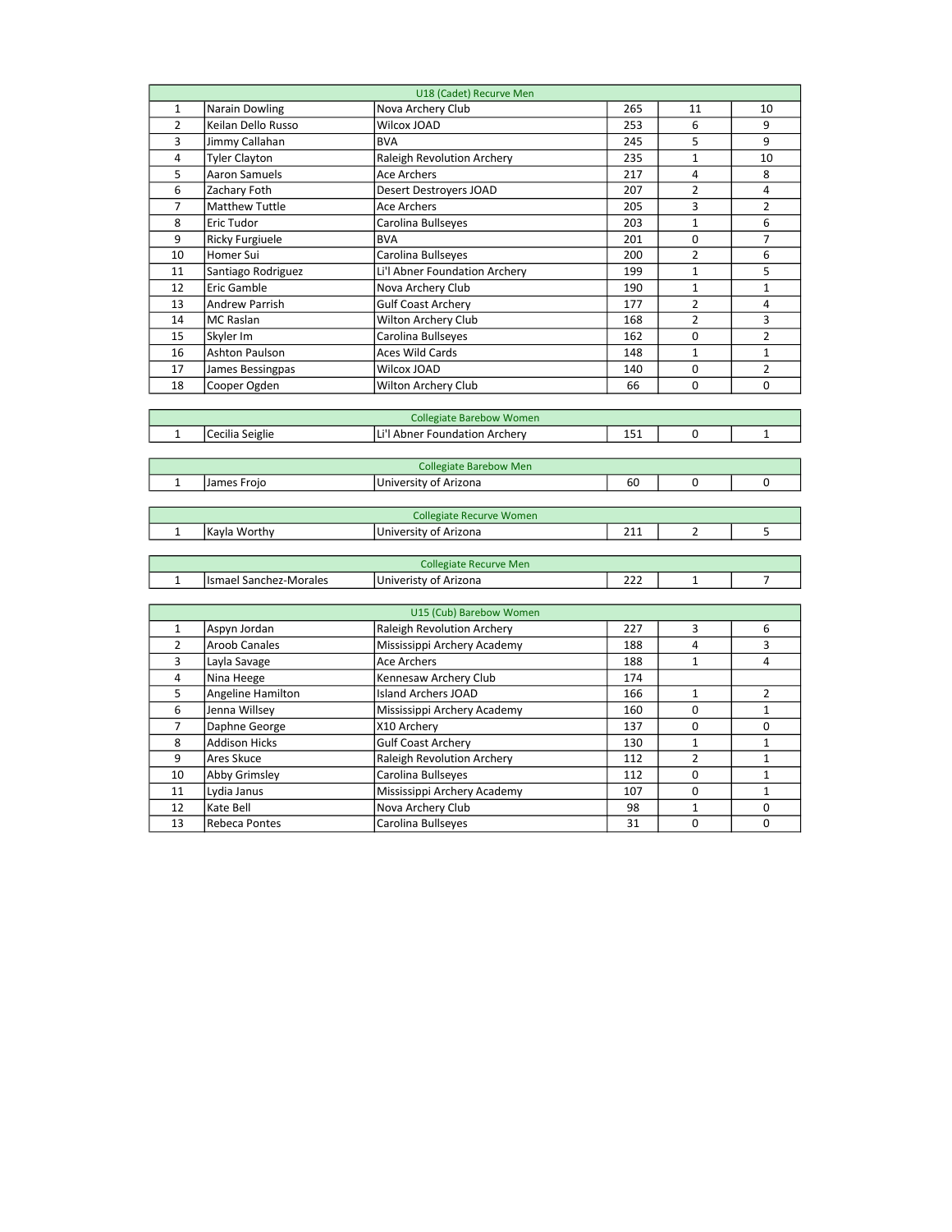|                | U18 (Cadet) Recurve Men |                                 |     |                |                |  |  |  |
|----------------|-------------------------|---------------------------------|-----|----------------|----------------|--|--|--|
| $\mathbf{1}$   | Narain Dowling          | Nova Archery Club               | 265 | 11             | 10             |  |  |  |
| $\overline{2}$ | Keilan Dello Russo      | Wilcox JOAD                     | 253 | 6              | 9              |  |  |  |
| 3              | Jimmy Callahan          | <b>BVA</b>                      | 245 | 5              | 9              |  |  |  |
| $\overline{4}$ | <b>Tyler Clayton</b>    | Raleigh Revolution Archery      | 235 | $\mathbf{1}$   | 10             |  |  |  |
| 5              | Aaron Samuels           | <b>Ace Archers</b>              | 217 | 4              | 8              |  |  |  |
| 6              | Zachary Foth            | Desert Destroyers JOAD          | 207 | $\overline{2}$ | 4              |  |  |  |
| $\overline{7}$ | <b>Matthew Tuttle</b>   | Ace Archers                     | 205 | 3              | $\overline{2}$ |  |  |  |
| 8              | <b>Eric Tudor</b>       | Carolina Bullseyes              | 203 | $\mathbf{1}$   | 6              |  |  |  |
| 9              | <b>Ricky Furgiuele</b>  | <b>BVA</b>                      | 201 | 0              | $\overline{7}$ |  |  |  |
| 10             | Homer Sui               | Carolina Bullseyes              | 200 | $\overline{2}$ | 6              |  |  |  |
| 11             | Santiago Rodriguez      | Li'l Abner Foundation Archery   | 199 | 1              | 5              |  |  |  |
| 12             | Eric Gamble             | Nova Archery Club               | 190 | $\mathbf{1}$   | $\mathbf{1}$   |  |  |  |
| 13             | <b>Andrew Parrish</b>   | <b>Gulf Coast Archery</b>       | 177 | 2              | 4              |  |  |  |
| 14             |                         | Wilton Archery Club             | 168 | $\overline{2}$ | 3              |  |  |  |
|                | MC Raslan               |                                 |     |                |                |  |  |  |
| 15             | Skyler Im               | Carolina Bullseyes              | 162 | 0              | $\overline{2}$ |  |  |  |
| 16             | Ashton Paulson          | <b>Aces Wild Cards</b>          | 148 | $\mathbf{1}$   | $\mathbf{1}$   |  |  |  |
| 17             | James Bessingpas        | Wilcox JOAD                     | 140 | 0              | $\overline{2}$ |  |  |  |
| 18             | Cooper Ogden            | Wilton Archery Club             | 66  | 0              | 0              |  |  |  |
|                |                         |                                 |     |                |                |  |  |  |
|                |                         | <b>Collegiate Barebow Women</b> |     |                |                |  |  |  |
| $\mathbf{1}$   | Cecilia Seiglie         | Li'l Abner Foundation Archery   | 151 | 0              | $\mathbf 1$    |  |  |  |
|                |                         |                                 |     |                |                |  |  |  |
|                |                         | <b>Collegiate Barebow Men</b>   |     |                |                |  |  |  |
| $\mathbf 1$    | James Frojo             | University of Arizona           | 60  | 0              | 0              |  |  |  |
|                |                         |                                 |     |                |                |  |  |  |
|                |                         | <b>Collegiate Recurve Women</b> |     |                |                |  |  |  |
| $\mathbf{1}$   | Kayla Worthy            | University of Arizona           | 211 | 2              | 5              |  |  |  |
|                |                         |                                 |     |                |                |  |  |  |
|                |                         | <b>Collegiate Recurve Men</b>   |     |                |                |  |  |  |
| $\mathbf{1}$   | Ismael Sanchez-Morales  | Univeristy of Arizona           | 222 | 1              | 7              |  |  |  |
|                |                         |                                 |     |                |                |  |  |  |
|                |                         | U15 (Cub) Barebow Women         |     |                |                |  |  |  |
| $\mathbf{1}$   | Aspyn Jordan            | Raleigh Revolution Archery      | 227 | 3              | 6              |  |  |  |
| $\overline{2}$ | <b>Aroob Canales</b>    | Mississippi Archery Academy     | 188 | 4              | 3              |  |  |  |
| 3              | Layla Savage            | <b>Ace Archers</b>              | 188 | $\mathbf{1}$   | 4              |  |  |  |
| $\overline{4}$ | Nina Heege              | Kennesaw Archery Club           | 174 |                |                |  |  |  |
| 5              | Angeline Hamilton       | <b>Island Archers JOAD</b>      | 166 | $\mathbf{1}$   | $\overline{2}$ |  |  |  |
| 6              | Jenna Willsey           | Mississippi Archery Academy     | 160 | 0              | $\mathbf{1}$   |  |  |  |
| $\overline{7}$ | Daphne George           | X10 Archery                     | 137 | 0              | 0              |  |  |  |
| 8              | <b>Addison Hicks</b>    | <b>Gulf Coast Archery</b>       | 130 | $\mathbf{1}$   | $\mathbf{1}$   |  |  |  |
| 9              | Ares Skuce              | Raleigh Revolution Archery      | 112 | $\overline{2}$ | $\mathbf{1}$   |  |  |  |
| 10             | Abby Grimsley           | Carolina Bullseyes              | 112 | 0              | $\mathbf{1}$   |  |  |  |
| 11             | Lydia Janus             | Mississippi Archery Academy     | 107 | 0              | $\mathbf{1}$   |  |  |  |
| 12             | Kate Bell               | Nova Archery Club               | 98  | $\mathbf{1}$   | 0              |  |  |  |
| 13             | Rebeca Pontes           | Carolina Bullseyes              | 31  | 0              | $\mathbf 0$    |  |  |  |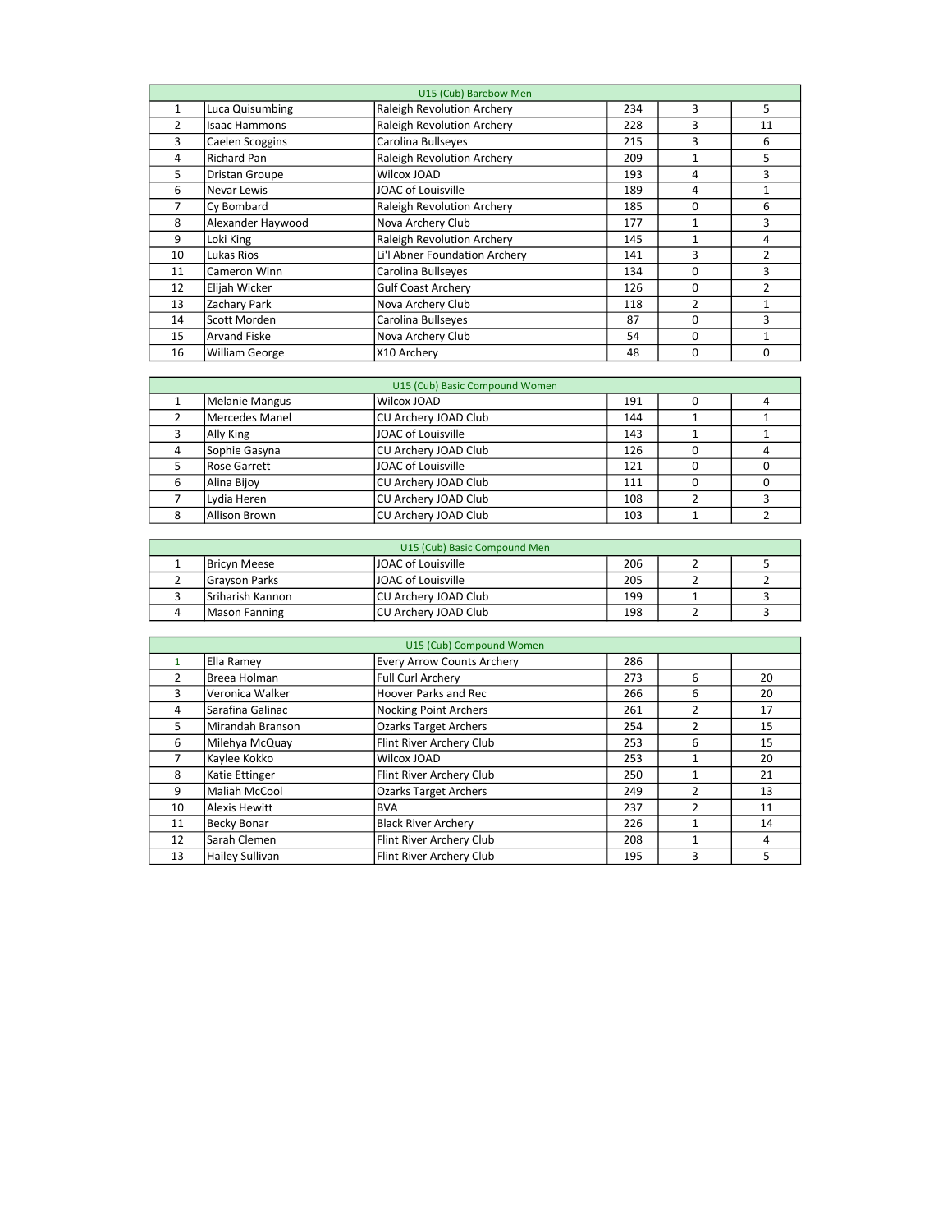| U15 (Cub) Barebow Men |                       |                                   |     |                |                |  |  |
|-----------------------|-----------------------|-----------------------------------|-----|----------------|----------------|--|--|
| $\mathbf{1}$          | Luca Quisumbing       | <b>Raleigh Revolution Archery</b> | 234 | 3              | 5.             |  |  |
| $\overline{2}$        | <b>Isaac Hammons</b>  | <b>Raleigh Revolution Archery</b> | 228 | 3              | 11             |  |  |
| 3                     | Caelen Scoggins       | Carolina Bullseyes                | 215 | 3              | 6              |  |  |
| 4                     | <b>Richard Pan</b>    | <b>Raleigh Revolution Archery</b> | 209 | 1              | 5.             |  |  |
| 5                     | <b>Dristan Groupe</b> | Wilcox JOAD                       | 193 | 4              | 3              |  |  |
| 6                     | Nevar Lewis           | JOAC of Louisville                | 189 | 4              | $\mathbf{1}$   |  |  |
| 7                     | Cy Bombard            | <b>Raleigh Revolution Archery</b> | 185 | $\Omega$       | 6              |  |  |
| 8                     | Alexander Haywood     | Nova Archery Club                 | 177 | 1              | 3              |  |  |
| 9                     | Loki King             | <b>Raleigh Revolution Archery</b> | 145 | 1              | 4              |  |  |
| 10                    | Lukas Rios            | Li'l Abner Foundation Archery     | 141 | 3              | $\overline{2}$ |  |  |
| 11                    | Cameron Winn          | Carolina Bullseyes                | 134 | 0              | 3              |  |  |
| 12                    | Elijah Wicker         | <b>Gulf Coast Archery</b>         | 126 | 0              | $\mathcal{P}$  |  |  |
| 13                    | Zachary Park          | Nova Archery Club                 | 118 | $\overline{2}$ |                |  |  |
| 14                    | Scott Morden          | Carolina Bullseyes                | 87  | $\Omega$       | 3              |  |  |
| 15                    | <b>Arvand Fiske</b>   | Nova Archery Club                 | 54  | 0              | 1              |  |  |
| 16                    | <b>William George</b> | X10 Archery                       | 48  | 0              | 0              |  |  |

|   | U15 (Cub) Basic Compound Women |                      |     |  |  |  |  |  |  |
|---|--------------------------------|----------------------|-----|--|--|--|--|--|--|
|   | Melanie Mangus                 | Wilcox JOAD          | 191 |  |  |  |  |  |  |
|   | Mercedes Manel                 | CU Archery JOAD Club | 144 |  |  |  |  |  |  |
|   | Ally King                      | JOAC of Louisville   | 143 |  |  |  |  |  |  |
|   | Sophie Gasyna                  | CU Archery JOAD Club | 126 |  |  |  |  |  |  |
|   | Rose Garrett                   | JOAC of Louisville   | 121 |  |  |  |  |  |  |
| 6 | Alina Bijoy                    | CU Archery JOAD Club | 111 |  |  |  |  |  |  |
|   | Lydia Heren                    | CU Archery JOAD Club | 108 |  |  |  |  |  |  |
| 8 | Allison Brown                  | CU Archery JOAD Club | 103 |  |  |  |  |  |  |

| U15 (Cub) Basic Compound Men |                           |     |  |  |  |  |  |
|------------------------------|---------------------------|-----|--|--|--|--|--|
| <b>Bricyn Meese</b>          | <b>JOAC of Louisville</b> | 206 |  |  |  |  |  |
| <b>Grayson Parks</b>         | <b>JOAC of Louisville</b> | 205 |  |  |  |  |  |
| lSriharish Kannon            | CU Archery JOAD Club      | 199 |  |  |  |  |  |
| Mason Fanning                | ICU Archery JOAD Club     | 198 |  |  |  |  |  |

| U15 (Cub) Compound Women |                        |                                   |     |                |    |  |  |
|--------------------------|------------------------|-----------------------------------|-----|----------------|----|--|--|
|                          | Ella Ramey             | <b>Every Arrow Counts Archery</b> | 286 |                |    |  |  |
| $\overline{2}$           | Breea Holman           | Full Curl Archery                 | 273 | 6              | 20 |  |  |
| 3                        | Veronica Walker        | <b>Hoover Parks and Rec</b>       | 266 | 6              | 20 |  |  |
| 4                        | Sarafina Galinac       | <b>Nocking Point Archers</b>      | 261 | $\overline{2}$ | 17 |  |  |
| 5                        | Mirandah Branson       | <b>Ozarks Target Archers</b>      | 254 | $\overline{2}$ | 15 |  |  |
| 6                        | Milehya McQuay         | Flint River Archery Club          | 253 | 6              | 15 |  |  |
| 7                        | Kaylee Kokko           | Wilcox JOAD                       | 253 |                | 20 |  |  |
| 8                        | Katie Ettinger         | Flint River Archery Club          | 250 |                | 21 |  |  |
| 9                        | Maliah McCool          | <b>Ozarks Target Archers</b>      | 249 | $\overline{2}$ | 13 |  |  |
| 10                       | <b>Alexis Hewitt</b>   | <b>BVA</b>                        | 237 | $\mathfrak z$  | 11 |  |  |
| 11                       | <b>Becky Bonar</b>     | <b>Black River Archery</b>        | 226 |                | 14 |  |  |
| 12                       | Sarah Clemen           | Flint River Archery Club          | 208 |                | 4  |  |  |
| 13                       | <b>Hailey Sullivan</b> | Flint River Archery Club          | 195 | 3              | 5  |  |  |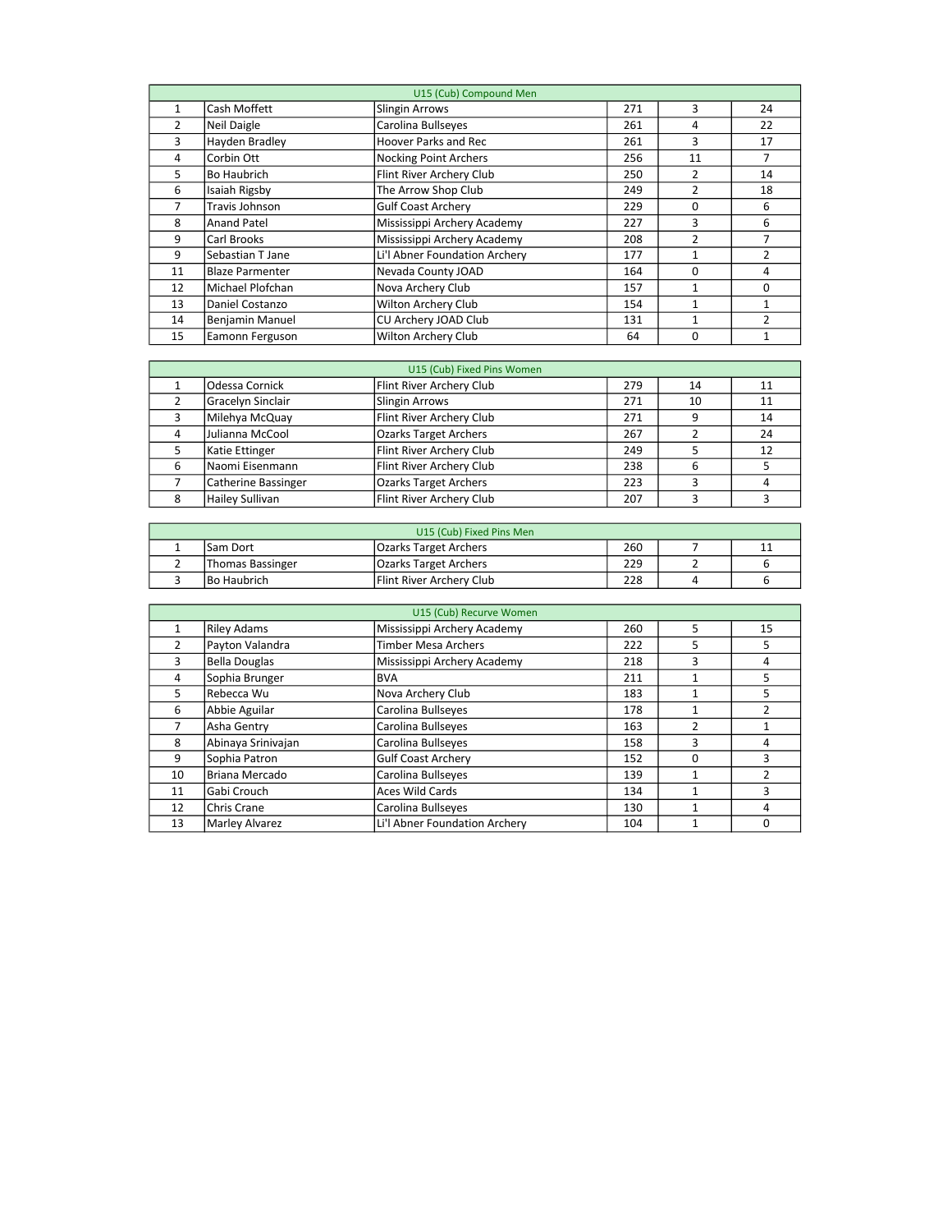| U15 (Cub) Compound Men |                        |                               |     |                |                |  |  |
|------------------------|------------------------|-------------------------------|-----|----------------|----------------|--|--|
| $\mathbf{1}$           | Cash Moffett           | Slingin Arrows                | 271 | 3              | 24             |  |  |
| $\overline{2}$         | Neil Daigle            | Carolina Bullseyes            | 261 | 4              | 22             |  |  |
| 3                      | Hayden Bradley         | Hoover Parks and Rec          | 261 | 3              | 17             |  |  |
| 4                      | Corbin Ott             | Nocking Point Archers         | 256 | 11             | $\overline{7}$ |  |  |
| 5                      | Bo Haubrich            | Flint River Archery Club      | 250 | 2              | 14             |  |  |
| 6                      | Isaiah Rigsby          | The Arrow Shop Club           | 249 | 2              | 18             |  |  |
| 7                      | Travis Johnson         | <b>Gulf Coast Archery</b>     | 229 | 0              | 6              |  |  |
| 8                      | <b>Anand Patel</b>     | Mississippi Archery Academy   | 227 | 3              | 6              |  |  |
| 9                      | Carl Brooks            | Mississippi Archery Academy   | 208 | $\overline{2}$ | 7              |  |  |
| 9                      | Sebastian T Jane       | Li'l Abner Foundation Archery | 177 | 1              | $\mathcal{P}$  |  |  |
| 11                     | <b>Blaze Parmenter</b> | Nevada County JOAD            | 164 | $\Omega$       | 4              |  |  |
| 12                     | Michael Plofchan       | Nova Archery Club             | 157 | 1              | 0              |  |  |
| 13                     | Daniel Costanzo        | Wilton Archery Club           | 154 | 1              |                |  |  |
| 14                     | <b>Benjamin Manuel</b> | CU Archery JOAD Club          | 131 | 1              | $\mathcal{P}$  |  |  |
| 15                     | Eamonn Ferguson        | Wilton Archery Club           | 64  | $\Omega$       |                |  |  |

|   | U15 (Cub) Fixed Pins Women |                              |     |    |    |  |  |  |  |
|---|----------------------------|------------------------------|-----|----|----|--|--|--|--|
|   | Odessa Cornick             | Flint River Archery Club     | 279 | 14 | 11 |  |  |  |  |
|   | Gracelyn Sinclair          | Slingin Arrows               | 271 | 10 | 11 |  |  |  |  |
|   | Milehya McQuay             | Flint River Archery Club     | 271 | q  | 14 |  |  |  |  |
|   | Julianna McCool            | <b>Ozarks Target Archers</b> | 267 |    | 24 |  |  |  |  |
|   | Katie Ettinger             | Flint River Archery Club     | 249 |    | 12 |  |  |  |  |
| 6 | Naomi Eisenmann            | Flint River Archery Club     | 238 | 6  |    |  |  |  |  |
|   | <b>Catherine Bassinger</b> | <b>Ozarks Target Archers</b> | 223 |    |    |  |  |  |  |
| 8 | Hailey Sullivan            | Flint River Archery Club     | 207 | ∍  | ∍  |  |  |  |  |

| U15 (Cub) Fixed Pins Men |                    |                              |     |  |   |  |  |
|--------------------------|--------------------|------------------------------|-----|--|---|--|--|
|                          | lSam Dort          | <b>Ozarks Target Archers</b> | 260 |  | ᆠ |  |  |
|                          | Thomas Bassinger   | <b>Ozarks Target Archers</b> | 229 |  |   |  |  |
|                          | <b>Bo Haubrich</b> | Flint River Archery Club     | 228 |  |   |  |  |

|               | U15 (Cub) Recurve Women |                               |     |                |                |  |  |  |  |
|---------------|-------------------------|-------------------------------|-----|----------------|----------------|--|--|--|--|
| 1             | <b>Riley Adams</b>      | Mississippi Archery Academy   | 260 | 5              | 15             |  |  |  |  |
| $\mathcal{P}$ | Payton Valandra         | Timber Mesa Archers           | 222 | 5              | 5              |  |  |  |  |
| 3             | Bella Douglas           | Mississippi Archery Academy   | 218 | 3              | 4              |  |  |  |  |
| 4             | Sophia Brunger          | <b>BVA</b>                    | 211 | 1              | 5              |  |  |  |  |
| 5             | Rebecca Wu              | Nova Archery Club             | 183 | 1              | 5              |  |  |  |  |
| 6             | Abbie Aguilar           | Carolina Bullseyes            | 178 | 1              | $\mathcal{P}$  |  |  |  |  |
| 7             | Asha Gentry             | Carolina Bullseyes            | 163 | $\overline{2}$ |                |  |  |  |  |
| 8             | Abinaya Srinivajan      | Carolina Bullseyes            | 158 | 3              | 4              |  |  |  |  |
| 9             | Sophia Patron           | <b>Gulf Coast Archery</b>     | 152 | $\Omega$       | 3              |  |  |  |  |
| 10            | Briana Mercado          | Carolina Bullseyes            | 139 |                | $\mathfrak{p}$ |  |  |  |  |
| 11            | Gabi Crouch             | <b>Aces Wild Cards</b>        | 134 | 1              | 3              |  |  |  |  |
| 12            | Chris Crane             | Carolina Bullseyes            | 130 |                | 4              |  |  |  |  |
| 13            | Marley Alvarez          | Li'l Abner Foundation Archery | 104 | 1              | $\Omega$       |  |  |  |  |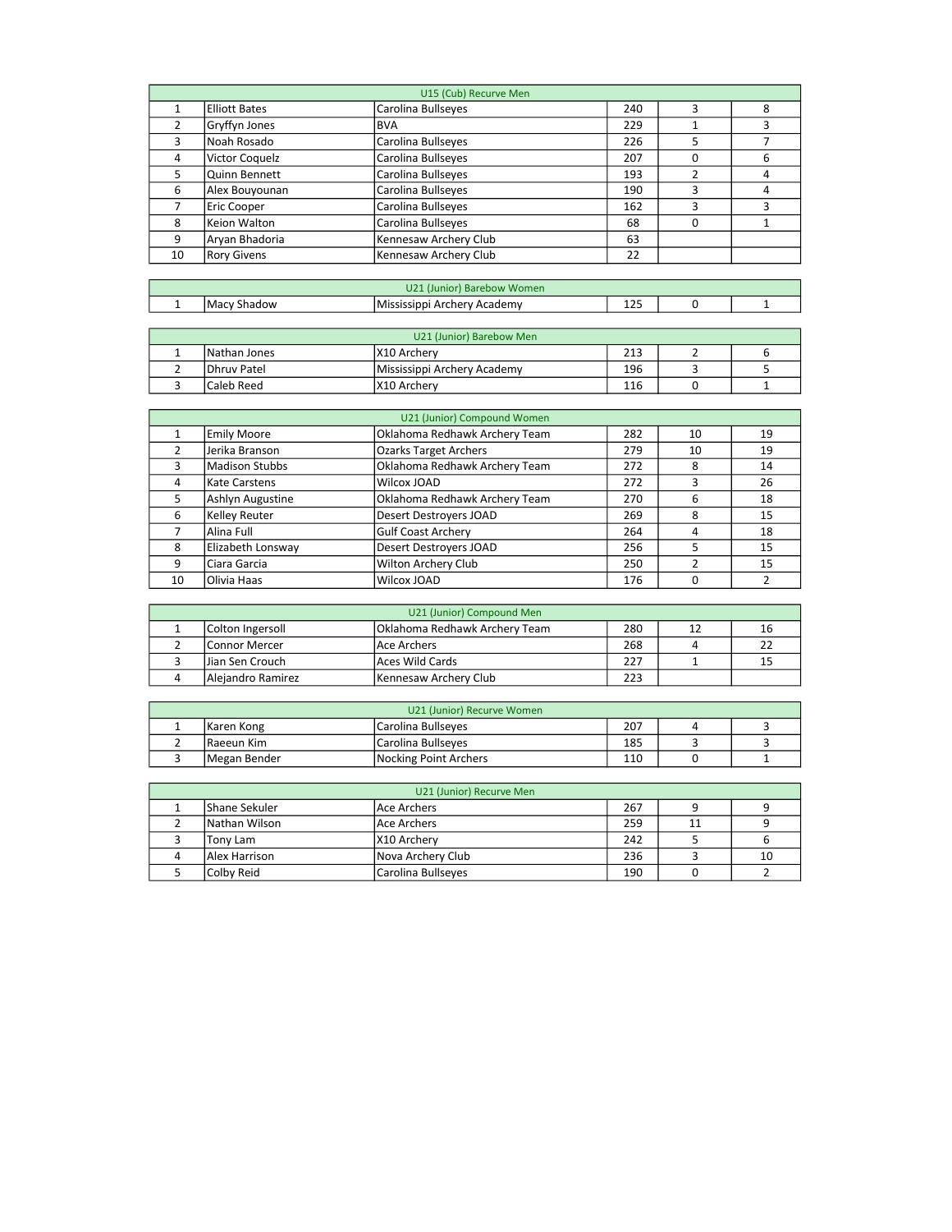|    | U15 (Cub) Recurve Men |                       |     |   |   |  |  |  |
|----|-----------------------|-----------------------|-----|---|---|--|--|--|
|    | <b>Elliott Bates</b>  | Carolina Bullseyes    | 240 | 3 | 8 |  |  |  |
| 2  | Gryffyn Jones         | IBVA                  | 229 |   | 3 |  |  |  |
| 3  | Noah Rosado           | Carolina Bullseyes    | 226 | 5 |   |  |  |  |
| 4  | Victor Coquelz        | Carolina Bullseyes    | 207 | O | 6 |  |  |  |
| 5  | Quinn Bennett         | Carolina Bullseyes    | 193 | 2 | 4 |  |  |  |
| 6  | Alex Bouyounan        | Carolina Bullseyes    | 190 | 3 | 4 |  |  |  |
| 7  | Eric Cooper           | Carolina Bullseyes    | 162 | 3 | 3 |  |  |  |
| 8  | Keion Walton          | Carolina Bullseyes    | 68  | 0 |   |  |  |  |
| 9  | Aryan Bhadoria        | Kennesaw Archery Club | 63  |   |   |  |  |  |
| 10 | <b>Rory Givens</b>    | Kennesaw Archery Club | 22  |   |   |  |  |  |

|   | $\sim$<br>r) Barebow Women<br>"Junior"<br>UZ. |                                             |                     |  |  |  |  |
|---|-----------------------------------------------|---------------------------------------------|---------------------|--|--|--|--|
| - | Shadow<br>ı Mac                               | ' Academv<br><b>IMississippi</b><br>Archery | $\sim$ $\sim$<br>ᆠᄼ |  |  |  |  |

| U21 (Junior) Barebow Men |                    |                             |     |  |  |  |  |  |
|--------------------------|--------------------|-----------------------------|-----|--|--|--|--|--|
|                          | Nathan Jones       | IX10 Archery                | 213 |  |  |  |  |  |
|                          | <b>Dhruy Patel</b> | Mississippi Archery Academy | 196 |  |  |  |  |  |
|                          | Caleb Reed         | IX10 Archery                | 116 |  |  |  |  |  |

|    | U21 (Junior) Compound Women |                               |     |    |    |  |  |  |
|----|-----------------------------|-------------------------------|-----|----|----|--|--|--|
|    | <b>Emily Moore</b>          | Oklahoma Redhawk Archery Team | 282 | 10 | 19 |  |  |  |
| 2  | Jerika Branson              | <b>Ozarks Target Archers</b>  | 279 | 10 | 19 |  |  |  |
| 3  | <b>Madison Stubbs</b>       | Oklahoma Redhawk Archery Team | 272 | 8  | 14 |  |  |  |
| 4  | Kate Carstens               | Wilcox JOAD                   | 272 | 3  | 26 |  |  |  |
| 5  | Ashlyn Augustine            | Oklahoma Redhawk Archery Team | 270 | 6  | 18 |  |  |  |
| 6  | Kelley Reuter               | Desert Destroyers JOAD        | 269 | 8  | 15 |  |  |  |
|    | Alina Full                  | <b>Gulf Coast Archery</b>     | 264 | 4  | 18 |  |  |  |
| 8  | Elizabeth Lonsway           | <b>Desert Destroyers JOAD</b> | 256 | 5  | 15 |  |  |  |
| q  | Ciara Garcia                | Wilton Archery Club           | 250 | ำ  | 15 |  |  |  |
| 10 | Olivia Haas                 | Wilcox JOAD                   | 176 | 0  |    |  |  |  |

| U21 (Junior) Compound Men |                   |                               |     |  |    |  |  |  |
|---------------------------|-------------------|-------------------------------|-----|--|----|--|--|--|
|                           | Colton Ingersoll  | Oklahoma Redhawk Archery Team | 280 |  | 16 |  |  |  |
|                           | lConnor Mercer    | l Ace Archers                 | 268 |  |    |  |  |  |
|                           | Uian Sen Crouch   | lAces Wild Cards              | 227 |  |    |  |  |  |
|                           | Alejandro Ramirez | Kennesaw Archery Club         | 223 |  |    |  |  |  |

| U21 (Junior) Recurve Women |                       |     |  |  |  |  |  |
|----------------------------|-----------------------|-----|--|--|--|--|--|
| Karen Kong                 | Carolina Bullseves    | 207 |  |  |  |  |  |
| Raeeun Kim                 | Carolina Bullseves    | 185 |  |  |  |  |  |
| Megan Bender               | Nocking Point Archers | 110 |  |  |  |  |  |

| U21 (Junior) Recurve Men |                      |                    |     |    |    |  |  |  |
|--------------------------|----------------------|--------------------|-----|----|----|--|--|--|
|                          | <b>Shane Sekuler</b> | l Ace Archers      | 267 |    |    |  |  |  |
|                          | Nathan Wilson        | lAce Archers       | 259 | 11 |    |  |  |  |
|                          | Tony Lam             | IX10 Archerv       | 242 |    |    |  |  |  |
|                          | Alex Harrison        | Nova Archery Club  | 236 |    | 10 |  |  |  |
|                          | lColby Reid          | Carolina Bullseyes | 190 |    |    |  |  |  |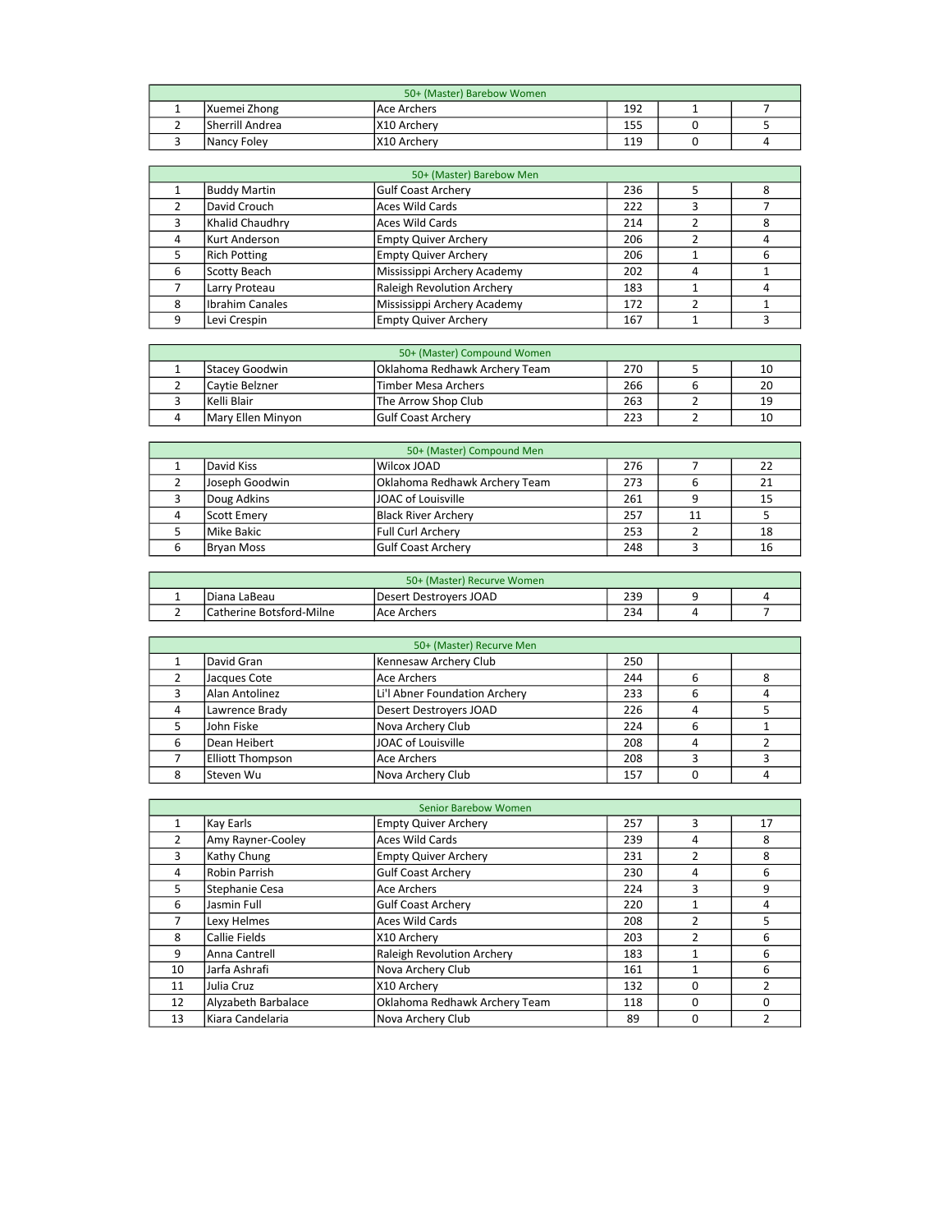| 50+ (Master) Barebow Women |                 |               |     |  |  |  |  |  |
|----------------------------|-----------------|---------------|-----|--|--|--|--|--|
|                            | Xuemei Zhong    | l Ace Archers | 192 |  |  |  |  |  |
|                            | Sherrill Andrea | IX10 Archery  | 155 |  |  |  |  |  |
|                            | Nancy Foley     | IX10 Archerv  | 119 |  |  |  |  |  |

|   | 50+ (Master) Barebow Men |                                   |     |   |   |  |  |  |
|---|--------------------------|-----------------------------------|-----|---|---|--|--|--|
|   | Buddy Martin             | <b>Gulf Coast Archery</b>         | 236 |   |   |  |  |  |
|   | David Crouch             | <b>Aces Wild Cards</b>            | 222 |   |   |  |  |  |
|   | Khalid Chaudhry          | <b>Aces Wild Cards</b>            | 214 |   |   |  |  |  |
| 4 | Kurt Anderson            | <b>Empty Quiver Archery</b>       | 206 |   |   |  |  |  |
|   | <b>Rich Potting</b>      | <b>Empty Quiver Archery</b>       | 206 |   | 6 |  |  |  |
| 6 | Scotty Beach             | Mississippi Archery Academy       | 202 | 4 |   |  |  |  |
|   | Larry Proteau            | <b>Raleigh Revolution Archery</b> | 183 |   |   |  |  |  |
| 8 | Ibrahim Canales          | Mississippi Archery Academy       | 172 |   |   |  |  |  |
|   | Levi Crespin             | <b>Empty Quiver Archery</b>       | 167 |   |   |  |  |  |

| 50+ (Master) Compound Women |                   |                               |     |  |    |
|-----------------------------|-------------------|-------------------------------|-----|--|----|
|                             | Stacey Goodwin    | Oklahoma Redhawk Archery Team | 270 |  |    |
|                             | lCavtie Belzner   | Timber Mesa Archers           | 266 |  | 20 |
|                             | Kelli Blair       | The Arrow Shop Club           | 263 |  | 19 |
|                             | Mary Ellen Minyon | <b>Gulf Coast Archerv</b>     | 223 |  |    |

| 50+ (Master) Compound Men |                               |     |    |    |  |  |
|---------------------------|-------------------------------|-----|----|----|--|--|
| David Kiss                | Wilcox JOAD                   | 276 |    |    |  |  |
| Joseph Goodwin            | Oklahoma Redhawk Archery Team | 273 |    |    |  |  |
| Doug Adkins               | JOAC of Louisville            | 261 |    | 15 |  |  |
| <b>Scott Emerv</b>        | Black River Archery           | 257 | 11 |    |  |  |
| Mike Bakic                | l Full Curl Archerv           | 253 |    | 18 |  |  |
| Bryan Moss                | <b>Gulf Coast Archery</b>     | 248 |    | 16 |  |  |

| 50+ (Master) Recurve Women |                          |                        |     |  |  |  |
|----------------------------|--------------------------|------------------------|-----|--|--|--|
| <b>.</b>                   | Diana LaBeau             | Desert Destroyers JOAD | 239 |  |  |  |
|                            | Catherine Botsford-Milne | l Ace Archers          | 234 |  |  |  |

|   | 50+ (Master) Recurve Men |                               |     |   |  |  |  |
|---|--------------------------|-------------------------------|-----|---|--|--|--|
|   | David Gran               | Kennesaw Archery Club         | 250 |   |  |  |  |
|   | Jacques Cote             | Ace Archers                   | 244 | 6 |  |  |  |
|   | Alan Antolinez           | Li'l Abner Foundation Archery | 233 | 6 |  |  |  |
|   | Lawrence Brady           | Desert Destroyers JOAD        | 226 | 4 |  |  |  |
|   | John Fiske               | Nova Archery Club             | 224 | 6 |  |  |  |
| 6 | Dean Heibert             | JOAC of Louisville            | 208 | 4 |  |  |  |
|   | <b>Elliott Thompson</b>  | lAce Archers                  | 208 |   |  |  |  |
|   | lSteven Wu               | Nova Archery Club             | 157 |   |  |  |  |

|    |                      | <b>Senior Barebow Women</b>       |     |   |          |
|----|----------------------|-----------------------------------|-----|---|----------|
| 1  | Kay Earls            | <b>Empty Quiver Archery</b>       | 257 | 3 | 17       |
| 2  | Amy Rayner-Cooley    | <b>Aces Wild Cards</b>            | 239 | 4 | 8        |
| 3  | Kathy Chung          | <b>Empty Quiver Archery</b>       | 231 | n | 8        |
| 4  | <b>Robin Parrish</b> | <b>Gulf Coast Archery</b>         | 230 | 4 | 6        |
| 5  | Stephanie Cesa       | <b>Ace Archers</b>                | 224 | 3 | 9        |
| 6  | Jasmin Full          | <b>Gulf Coast Archery</b>         | 220 | 1 | 4        |
| 7  | Lexy Helmes          | <b>Aces Wild Cards</b>            | 208 |   | 5        |
| 8  | Callie Fields        | X10 Archery                       | 203 | 2 | 6        |
| 9  | Anna Cantrell        | <b>Raleigh Revolution Archery</b> | 183 | 1 | 6        |
| 10 | Jarfa Ashrafi        | Nova Archery Club                 | 161 | 1 | 6        |
| 11 | Julia Cruz           | X10 Archery                       | 132 | 0 |          |
| 12 | Alyzabeth Barbalace  | Oklahoma Redhawk Archery Team     | 118 | 0 | $\Omega$ |
| 13 | Kiara Candelaria     | Nova Archery Club                 | 89  | 0 |          |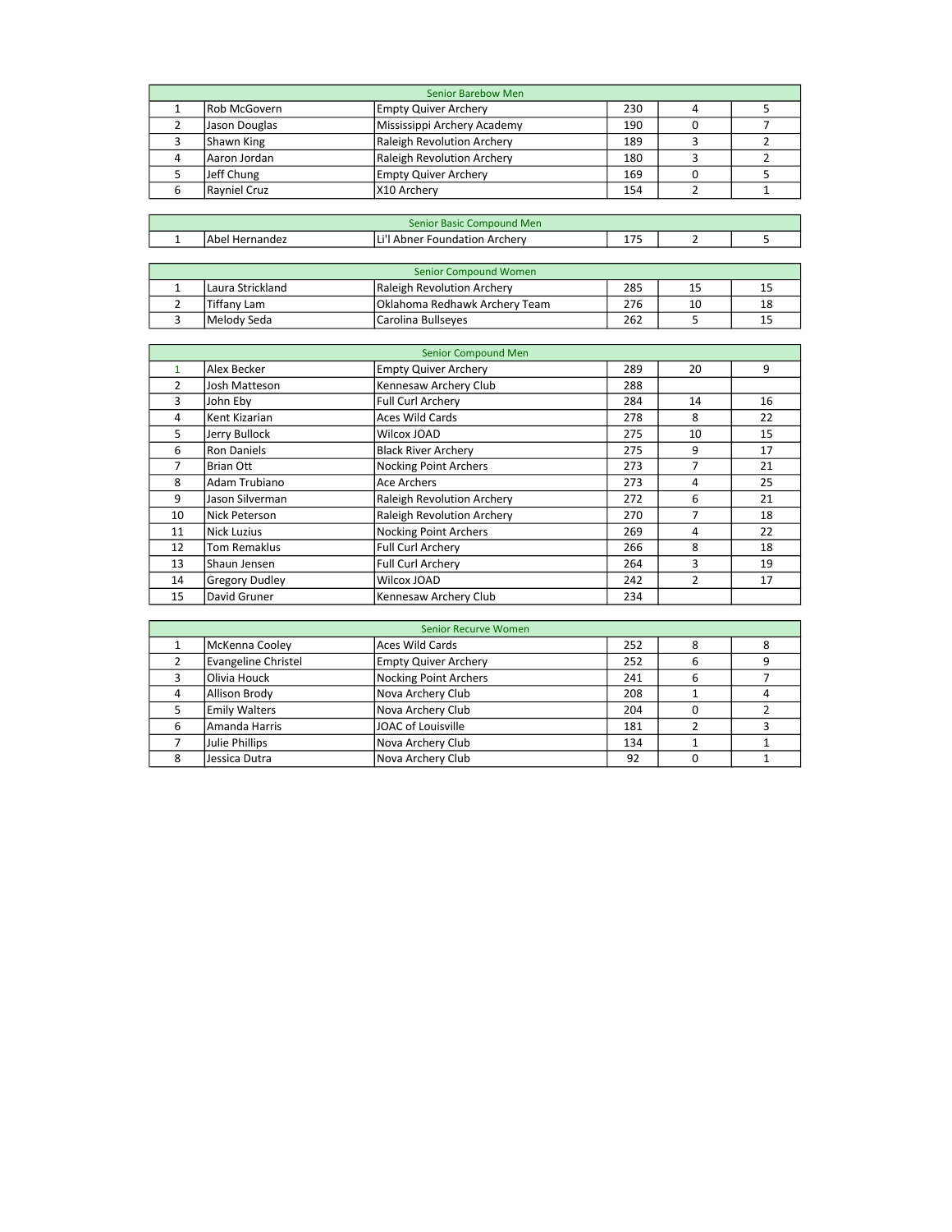|                | <b>Senior Barebow Men</b> |                               |     |                |                |  |  |
|----------------|---------------------------|-------------------------------|-----|----------------|----------------|--|--|
| $\mathbf{1}$   | Rob McGovern              | <b>Empty Quiver Archery</b>   | 230 | 4              | 5              |  |  |
| $\overline{2}$ | Jason Douglas             | Mississippi Archery Academy   | 190 | 0              | 7              |  |  |
| 3              | Shawn King                | Raleigh Revolution Archery    | 189 | 3              | $\overline{2}$ |  |  |
| 4              | Aaron Jordan              | Raleigh Revolution Archery    | 180 | 3              | $\overline{2}$ |  |  |
| 5              | Jeff Chung                | <b>Empty Quiver Archery</b>   | 169 | 0              | 5              |  |  |
| 6              | Rayniel Cruz              | X10 Archery                   | 154 | 2              | 1              |  |  |
|                |                           |                               |     |                |                |  |  |
|                | Senior Basic Compound Men |                               |     |                |                |  |  |
| $\mathbf{1}$   | Abel Hernandez            | Li'l Abner Foundation Archery | 175 | $\overline{2}$ | 5              |  |  |
|                |                           |                               |     |                |                |  |  |
|                |                           | Senior Compound Women         |     |                |                |  |  |
| $\mathbf{1}$   | Laura Strickland          | Raleigh Revolution Archery    | 285 | 15             | 15             |  |  |
| $\overline{2}$ | Tiffany Lam               | Oklahoma Redhawk Archery Team | 276 | 10             | 18             |  |  |
| 3              | Melody Seda               | Carolina Bullseyes            | 262 | 5              | 15             |  |  |
|                |                           |                               |     |                |                |  |  |
|                |                           | Senior Compound Men           |     |                |                |  |  |
| $\mathbf{1}$   | Alex Becker               | <b>Empty Quiver Archery</b>   | 289 | 20             | 9              |  |  |
| $\overline{2}$ | Josh Matteson             | Kennesaw Archery Club         | 288 |                |                |  |  |

|    | Josh Matteson         | Kennesaw Archery Club             | 288 |    |    |
|----|-----------------------|-----------------------------------|-----|----|----|
| 3  | John Eby              | Full Curl Archery                 | 284 | 14 | 16 |
| 4  | Kent Kizarian         | <b>Aces Wild Cards</b>            | 278 | 8  | 22 |
| 5  | Jerry Bullock         | Wilcox JOAD                       | 275 | 10 | 15 |
| 6  | <b>Ron Daniels</b>    | <b>Black River Archery</b>        | 275 | 9  | 17 |
|    | <b>Brian Ott</b>      | <b>Nocking Point Archers</b>      | 273 |    | 21 |
| 8  | Adam Trubiano         | <b>Ace Archers</b>                | 273 | 4  | 25 |
| 9  | Jason Silverman       | <b>Raleigh Revolution Archery</b> | 272 | 6  | 21 |
| 10 | Nick Peterson         | Raleigh Revolution Archery        | 270 |    | 18 |
| 11 | Nick Luzius           | <b>Nocking Point Archers</b>      | 269 | 4  | 22 |
| 12 | <b>Tom Remaklus</b>   | <b>Full Curl Archery</b>          | 266 | 8  | 18 |
| 13 | Shaun Jensen          | Full Curl Archery                 | 264 | 3  | 19 |
| 14 | <b>Gregory Dudley</b> | Wilcox JOAD                       | 242 | 2  | 17 |
| 15 | David Gruner          | Kennesaw Archery Club             | 234 |    |    |

|   | <b>Senior Recurve Women</b> |                              |     |   |   |  |  |
|---|-----------------------------|------------------------------|-----|---|---|--|--|
|   | McKenna Cooley              | Aces Wild Cards              | 252 |   | 8 |  |  |
|   | Evangeline Christel         | <b>Empty Quiver Archery</b>  | 252 | ь |   |  |  |
|   | Olivia Houck                | <b>Nocking Point Archers</b> | 241 | 6 |   |  |  |
|   | <b>Allison Brody</b>        | Nova Archery Club            | 208 |   |   |  |  |
|   | <b>Emily Walters</b>        | Nova Archery Club            | 204 |   |   |  |  |
| 6 | Amanda Harris               | JOAC of Louisville           | 181 |   |   |  |  |
|   | Julie Phillips              | Nova Archery Club            | 134 |   |   |  |  |
|   | Jessica Dutra               | Nova Archery Club            | 92  |   |   |  |  |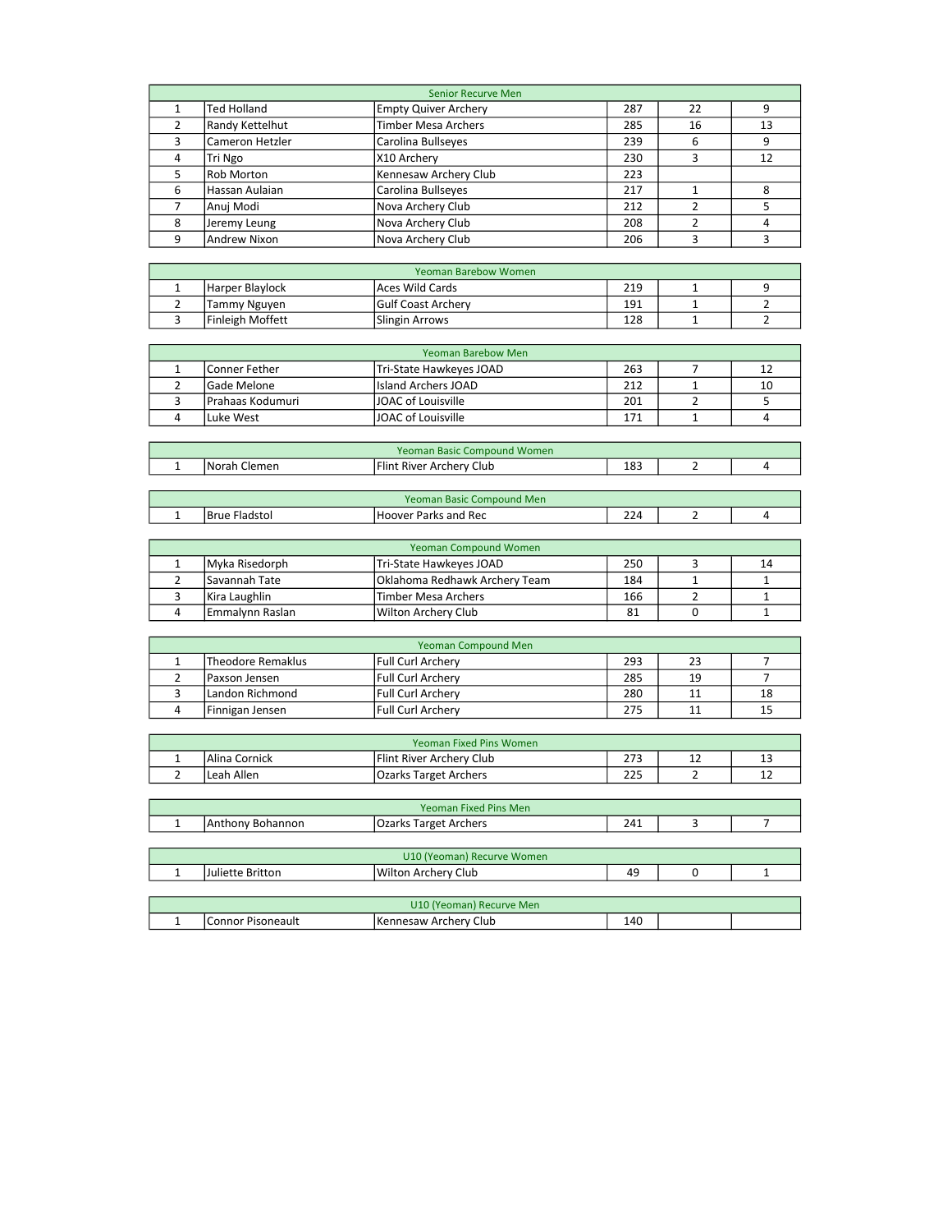|                     |                                  | <b>Senior Recurve Men</b>              |            |              |                |
|---------------------|----------------------------------|----------------------------------------|------------|--------------|----------------|
| 1                   | <b>Ted Holland</b>               | <b>Empty Quiver Archery</b>            | 287        | 22           | 9              |
| 2                   | Randy Kettelhut                  | <b>Timber Mesa Archers</b>             | 285        | 16           | 13             |
| 3                   | Cameron Hetzler                  | Carolina Bullseyes                     | 239        | 6            | 9              |
| 4                   | Tri Ngo                          | X10 Archery                            | 230        | 3            | 12             |
| 5                   | Rob Morton                       | Kennesaw Archery Club                  | 223        |              |                |
| 6                   | Hassan Aulaian                   | Carolina Bullseyes                     | 217        | 1            | 8              |
| 7                   | Anuj Modi                        | Nova Archery Club                      | 212        | 2            | 5              |
| 8                   | Jeremy Leung                     | Nova Archery Club                      | 208        | 2            | 4              |
| 9                   | Andrew Nixon                     | Nova Archery Club                      | 206        | 3            | 3              |
|                     |                                  |                                        |            |              |                |
|                     |                                  | Yeoman Barebow Women                   |            |              |                |
| 1                   | Harper Blaylock                  | <b>Aces Wild Cards</b>                 | 219        | 1            | 9              |
| $\overline{2}$      | <b>Tammy Nguyen</b>              | <b>Gulf Coast Archery</b>              | 191        | 1            | $\overline{2}$ |
| 3                   | <b>Finleigh Moffett</b>          | <b>Slingin Arrows</b>                  | 128        | 1            | $\overline{2}$ |
|                     |                                  |                                        |            |              |                |
|                     |                                  | <b>Yeoman Barebow Men</b>              |            |              |                |
| 1                   | Conner Fether                    | Tri-State Hawkeyes JOAD                | 263        | 7            | 12             |
| $\overline{2}$      | Gade Melone                      | <b>Island Archers JOAD</b>             | 212        | 1            | 10             |
| 3                   | Prahaas Kodumuri                 | <b>JOAC of Louisville</b>              | 201        | 2            | 5              |
| 4                   | Luke West                        | JOAC of Louisville                     | 171        | $\mathbf{1}$ | 4              |
|                     |                                  |                                        |            |              |                |
|                     |                                  | Yeoman Basic Compound Women            |            |              |                |
| $\mathbf{1}$        | Norah Clemen                     | Flint River Archery Club               | 183        | 2            | 4              |
|                     |                                  |                                        |            |              |                |
|                     |                                  | Yeoman Basic Compound Men              |            |              |                |
| $\mathbf{1}$        | <b>Brue Fladstol</b>             | <b>Hoover Parks and Rec</b>            | 224        | 2            | 4              |
|                     |                                  |                                        |            |              |                |
|                     |                                  | <b>Yeoman Compound Women</b>           |            |              |                |
| 1                   | Myka Risedorph                   | Tri-State Hawkeyes JOAD                | 250        | 3            | 14             |
| $\overline{2}$      | Savannah Tate                    | Oklahoma Redhawk Archery Team          | 184        | $\mathbf{1}$ | $\mathbf{1}$   |
| 3                   | Kira Laughlin                    | <b>Timber Mesa Archers</b>             | 166        | 2            | 1              |
| 4                   | Emmalynn Raslan                  | Wilton Archery Club                    | 81         | 0            | $\mathbf{1}$   |
|                     |                                  |                                        |            |              |                |
|                     |                                  | Yeoman Compound Men                    |            |              |                |
| 1                   | <b>Theodore Remaklus</b>         | Full Curl Archery                      | 293        | 23           | 7              |
| $\overline{2}$<br>3 | Paxson Jensen<br>Landon Richmond | <b>Full Curl Archery</b>               | 285<br>280 | 19           | 7              |
| 4                   |                                  | Full Curl Archery<br>Full Curl Archery | 275        | 11<br>11     | 18<br>15       |
|                     | Finnigan Jensen                  |                                        |            |              |                |
|                     |                                  | Yeoman Fixed Pins Women                |            |              |                |
| 1                   | Alina Cornick                    | Flint River Archery Club               | 273        | 12           | 13             |
| $\mathbf{2}$        | Leah Allen                       | <b>Ozarks Target Archers</b>           | 225        | 2            | 12             |
|                     |                                  |                                        |            |              |                |
|                     |                                  | Yeoman Fixed Pins Men                  |            |              |                |
| $\mathbf 1$         | Anthony Bohannon                 | <b>Ozarks Target Archers</b>           | 241        | 3            | 7              |
|                     |                                  |                                        |            |              |                |
|                     |                                  | U10 (Yeoman) Recurve Women             |            |              |                |
| 1                   | Juliette Britton                 | Wilton Archery Club                    | 49         | 0            | $\mathbf{1}$   |
|                     |                                  |                                        |            |              |                |
|                     |                                  | U10 (Yeoman) Recurve Men               |            |              |                |
| $\mathbf{1}$        | Connor Pisoneault                | Kennesaw Archery Club                  | 140        |              |                |
|                     |                                  |                                        |            |              |                |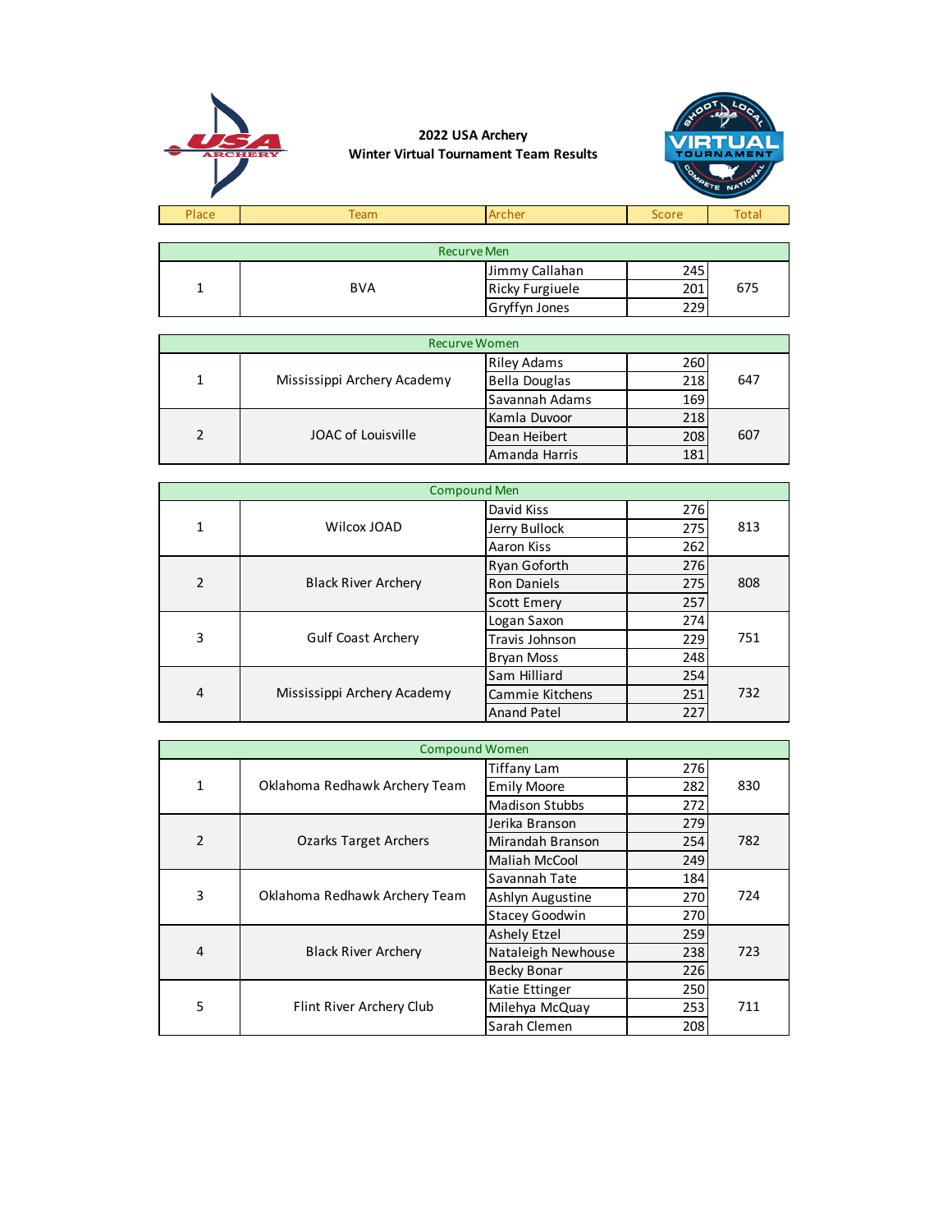

| <b>Recurve Men</b> |            |                        |     |     |  |
|--------------------|------------|------------------------|-----|-----|--|
|                    |            | Jimmy Callahan         | 245 |     |  |
|                    | <b>BVA</b> | <b>Ricky Furgiuele</b> | 201 | 675 |  |
|                    |            | <b>Gryffyn Jones</b>   | 229 |     |  |

|               | <b>Recurve Women</b>        |                      |     |     |  |  |  |
|---------------|-----------------------------|----------------------|-----|-----|--|--|--|
|               |                             | <b>Riley Adams</b>   | 260 |     |  |  |  |
| 1             | Mississippi Archery Academy | <b>Bella Douglas</b> | 218 | 647 |  |  |  |
|               |                             | Savannah Adams       | 169 |     |  |  |  |
|               |                             | Kamla Duvoor         | 218 |     |  |  |  |
| $\mathcal{P}$ | JOAC of Louisville          | Dean Heibert         | 208 | 607 |  |  |  |
|               |                             | Amanda Harris        | 181 |     |  |  |  |

|              | <b>Compound Men</b>         |                    |     |     |  |  |  |
|--------------|-----------------------------|--------------------|-----|-----|--|--|--|
|              |                             | David Kiss         | 276 |     |  |  |  |
| $\mathbf{1}$ | Wilcox JOAD                 | Jerry Bullock      | 275 | 813 |  |  |  |
|              |                             | Aaron Kiss         | 262 |     |  |  |  |
|              |                             | Ryan Goforth       | 276 |     |  |  |  |
| 2            | <b>Black River Archery</b>  | <b>Ron Daniels</b> | 275 | 808 |  |  |  |
|              |                             | <b>Scott Emery</b> | 257 |     |  |  |  |
|              | <b>Gulf Coast Archery</b>   | Logan Saxon        | 274 |     |  |  |  |
| 3            |                             | Travis Johnson     | 229 | 751 |  |  |  |
|              |                             | <b>Bryan Moss</b>  | 248 |     |  |  |  |
| 4            |                             | Sam Hilliard       | 254 |     |  |  |  |
|              | Mississippi Archery Academy | Cammie Kitchens    | 251 | 732 |  |  |  |
|              |                             | <b>Anand Patel</b> | 227 |     |  |  |  |

| <b>Compound Women</b> |                               |                       |     |     |
|-----------------------|-------------------------------|-----------------------|-----|-----|
| $\mathbf{1}$          | Oklahoma Redhawk Archery Team | <b>Tiffany Lam</b>    | 276 |     |
|                       |                               | <b>Emily Moore</b>    | 282 | 830 |
|                       |                               | <b>Madison Stubbs</b> | 272 |     |
|                       | Ozarks Target Archers         | Jerika Branson        | 279 |     |
| $\overline{2}$        |                               | Mirandah Branson      | 254 | 782 |
|                       |                               | <b>Maliah McCool</b>  | 249 |     |
|                       | Oklahoma Redhawk Archery Team | Savannah Tate         | 184 |     |
| 3                     |                               | Ashlyn Augustine      | 270 | 724 |
|                       |                               | <b>Stacey Goodwin</b> | 270 |     |
| $\overline{4}$        | <b>Black River Archery</b>    | <b>Ashely Etzel</b>   | 259 |     |
|                       |                               | Nataleigh Newhouse    | 238 | 723 |
|                       |                               | <b>Becky Bonar</b>    | 226 |     |
| 5                     | Flint River Archery Club      | Katie Ettinger        | 250 |     |
|                       |                               | Milehya McQuay        | 253 | 711 |
|                       |                               | Sarah Clemen          | 208 |     |